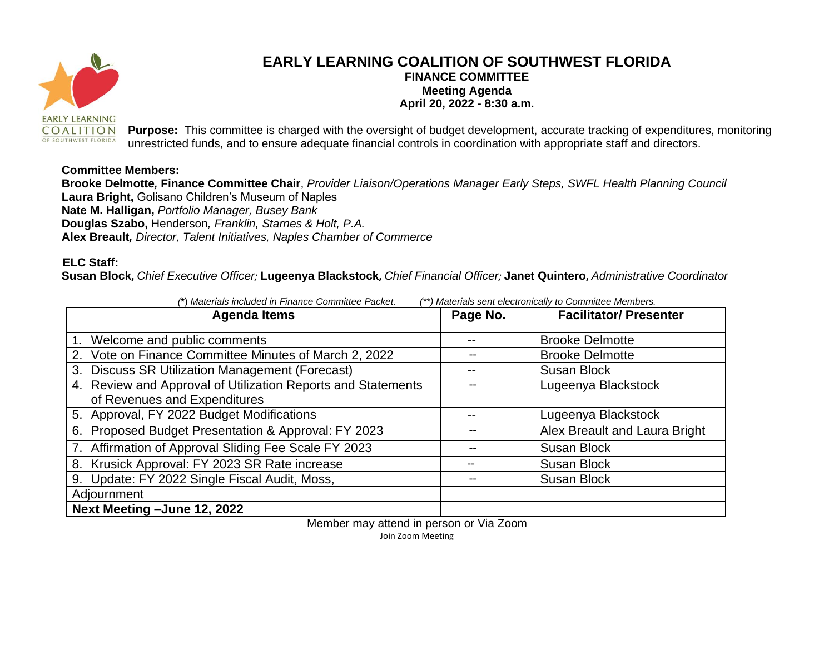

## **EARLY LEARNING COALITION OF SOUTHWEST FLORIDA FINANCE COMMITTEE Meeting Agenda April 20, 2022 - 8:30 a.m.**

**Purpose:** This committee is charged with the oversight of budget development, accurate tracking of expenditures, monitoring unrestricted funds, and to ensure adequate financial controls in coordination with appropriate staff and directors.

## **Committee Members:**

**Brooke Delmotte***,* **Finance Committee Chair**, *Provider Liaison/Operations Manager Early Steps, SWFL Health Planning Council* **Laura Bright,** Golisano Children's Museum of Naples **Nate M. Halligan,** *Portfolio Manager, Busey Bank*  **Douglas Szabo,** Henderson*, Franklin, Starnes & Holt, P.A.* **Alex Breault***, Director, Talent Initiatives, Naples Chamber of Commerce*

## **ELC Staff:**

**Susan Block,** *Chief Executive Officer;* **Lugeenya Blackstock,** *Chief Financial Officer;* **Janet Quintero,** *Administrative Coordinator*

| (*) Materials included in Finance Committee Packet.<br>Materials sent electronically to Committee Members. |          |                               |
|------------------------------------------------------------------------------------------------------------|----------|-------------------------------|
| <b>Agenda Items</b>                                                                                        | Page No. | <b>Facilitator/Presenter</b>  |
|                                                                                                            |          |                               |
| 1. Welcome and public comments                                                                             |          | <b>Brooke Delmotte</b>        |
| 2. Vote on Finance Committee Minutes of March 2, 2022                                                      |          | <b>Brooke Delmotte</b>        |
| 3. Discuss SR Utilization Management (Forecast)                                                            |          | <b>Susan Block</b>            |
| 4. Review and Approval of Utilization Reports and Statements                                               |          | Lugeenya Blackstock           |
| of Revenues and Expenditures                                                                               |          |                               |
| 5. Approval, FY 2022 Budget Modifications                                                                  |          | Lugeenya Blackstock           |
| 6. Proposed Budget Presentation & Approval: FY 2023                                                        |          | Alex Breault and Laura Bright |
| 7. Affirmation of Approval Sliding Fee Scale FY 2023                                                       |          | <b>Susan Block</b>            |
| 8. Krusick Approval: FY 2023 SR Rate increase                                                              |          | <b>Susan Block</b>            |
| 9. Update: FY 2022 Single Fiscal Audit, Moss,                                                              |          | <b>Susan Block</b>            |
| Adjournment                                                                                                |          |                               |
| Next Meeting - June 12, 2022                                                                               |          |                               |

Member may attend in person or Via Zoom Join Zoom Meeting